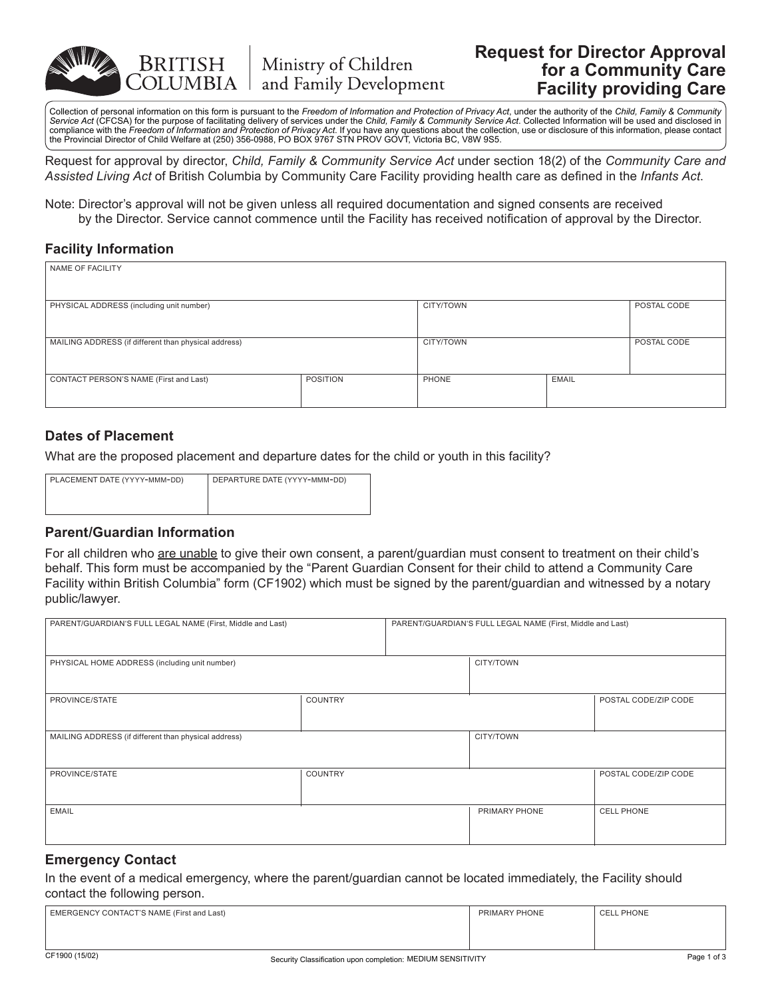

# **Request for Director Approval for a Community Care Facility providing Care**

Collection of personal information on this form is pursuant to the *Freedom of Information and Protection of Privacy Act*, under the authority of the *Child, Family & Community*  Service Act (CFCSA) for the purpose of facilitating delivery of services under the Child, Family & Community Service Act. Collected Information will be used and disclosed in<br>compliance with the Freedom of Information and P the Provincial Director of Child Welfare at (250) 356-0988, PO BOX 9767 STN PROV GOVT, Victoria BC, V8W 9S5.

Request for approval by director, *Child, Family & Community Service Act* under section 18(2) of the *Community Care and Assisted Living Act* of British Columbia by Community Care Facility providing health care as defined in the *Infants Act*.

Note: Director's approval will not be given unless all required documentation and signed consents are received by the Director. Service cannot commence until the Facility has received notification of approval by the Director.

#### **Facility Information**

| NAME OF FACILITY                                     |                 |           |              |             |
|------------------------------------------------------|-----------------|-----------|--------------|-------------|
| PHYSICAL ADDRESS (including unit number)             |                 | CITY/TOWN |              | POSTAL CODE |
| MAILING ADDRESS (if different than physical address) |                 | CITY/TOWN |              | POSTAL CODE |
| CONTACT PERSON'S NAME (First and Last)               | <b>POSITION</b> | PHONE     | <b>EMAIL</b> |             |

# **Dates of Placement**

What are the proposed placement and departure dates for the child or youth in this facility?

| PLACEMENT DATE (YYYY-MMM-DD) | DEPARTURE DATE (YYYY-MMM-DD) |
|------------------------------|------------------------------|
|                              |                              |
|                              |                              |

# **Parent/Guardian Information**

For all children who are unable to give their own consent, a parent/guardian must consent to treatment on their child's behalf. This form must be accompanied by the "Parent Guardian Consent for their child to attend a Community Care Facility within British Columbia" form (CF1902) which must be signed by the parent/guardian and witnessed by a notary public/lawyer.

| PARENT/GUARDIAN'S FULL LEGAL NAME (First, Middle and Last) |                | PARENT/GUARDIAN'S FULL LEGAL NAME (First, Middle and Last) |               |                      |
|------------------------------------------------------------|----------------|------------------------------------------------------------|---------------|----------------------|
|                                                            |                |                                                            |               |                      |
|                                                            |                |                                                            |               |                      |
|                                                            |                |                                                            |               |                      |
| PHYSICAL HOME ADDRESS (including unit number)              |                |                                                            | CITY/TOWN     |                      |
|                                                            |                |                                                            |               |                      |
|                                                            |                |                                                            |               |                      |
|                                                            |                |                                                            |               |                      |
| PROVINCE/STATE                                             | COUNTRY        |                                                            |               | POSTAL CODE/ZIP CODE |
|                                                            |                |                                                            |               |                      |
|                                                            |                |                                                            |               |                      |
|                                                            |                |                                                            |               |                      |
| MAILING ADDRESS (if different than physical address)       |                |                                                            | CITY/TOWN     |                      |
|                                                            |                |                                                            |               |                      |
|                                                            |                |                                                            |               |                      |
|                                                            |                |                                                            |               |                      |
| PROVINCE/STATE                                             | <b>COUNTRY</b> |                                                            |               | POSTAL CODE/ZIP CODE |
|                                                            |                |                                                            |               |                      |
|                                                            |                |                                                            |               |                      |
|                                                            |                |                                                            |               |                      |
| <b>EMAIL</b>                                               |                |                                                            | PRIMARY PHONE | <b>CELL PHONE</b>    |
|                                                            |                |                                                            |               |                      |
|                                                            |                |                                                            |               |                      |
|                                                            |                |                                                            |               |                      |
|                                                            |                |                                                            |               |                      |

#### **Emergency Contact**

In the event of a medical emergency, where the parent/guardian cannot be located immediately, the Facility should contact the following person.

| EMERGENCY CONTACT'S NAME (First and Last) | PRIMARY PHONE | <b>CELL PHONE</b> |
|-------------------------------------------|---------------|-------------------|
|                                           |               |                   |
|                                           |               |                   |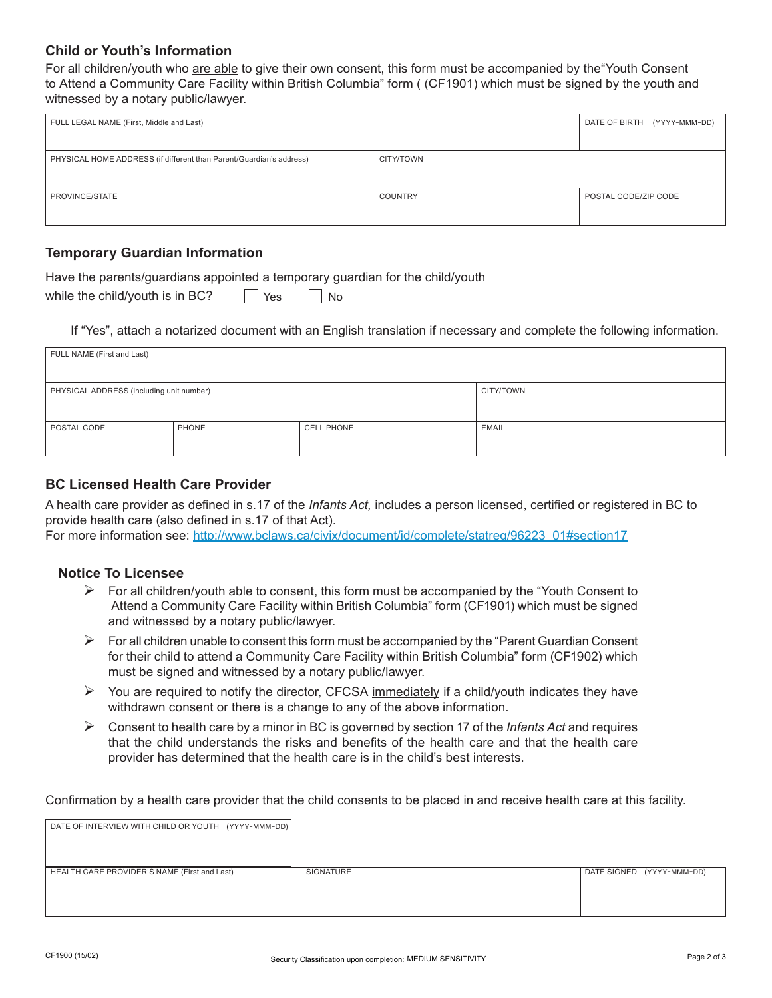### **Child or Youth's Information**

For all children/youth who are able to give their own consent, this form must be accompanied by the"Youth Consent to Attend a Community Care Facility within British Columbia" form ( (CF1901) which must be signed by the youth and witnessed by a notary public/lawyer.

| FULL LEGAL NAME (First, Middle and Last)                            |                | DATE OF BIRTH<br>(YYYY-MMM-DD) |
|---------------------------------------------------------------------|----------------|--------------------------------|
|                                                                     |                |                                |
| PHYSICAL HOME ADDRESS (if different than Parent/Guardian's address) | CITY/TOWN      |                                |
|                                                                     |                |                                |
| PROVINCE/STATE                                                      | <b>COUNTRY</b> | POSTAL CODE/ZIP CODE           |
|                                                                     |                |                                |

# **Temporary Guardian Information**

Have the parents/guardians appointed a temporary guardian for the child/youth  $N<sub>0</sub>$ 

| while the child/youth is in BC? |  | $\vert$ Yes |  |  |
|---------------------------------|--|-------------|--|--|
|---------------------------------|--|-------------|--|--|

If "Yes", attach a notarized document with an English translation if necessary and complete the following information.

| FULL NAME (First and Last)                            |       |                   |              |  |
|-------------------------------------------------------|-------|-------------------|--------------|--|
|                                                       |       |                   |              |  |
| PHYSICAL ADDRESS (including unit number)<br>CITY/TOWN |       |                   |              |  |
|                                                       |       |                   |              |  |
| POSTAL CODE                                           | PHONE | <b>CELL PHONE</b> | <b>EMAIL</b> |  |
|                                                       |       |                   |              |  |

### **BC Licensed Health Care Provider**

A health care provider as defined in s.17 of the *Infants Act,* includes a person licensed, certified or registered in BC to provide health care (also defined in s.17 of that Act).

For more information see: http://www.bclaws.ca/civix/document/id/complete/statreg/96223\_01#section17

#### **Notice To Licensee**

- $\triangleright$  For all children/youth able to consent, this form must be accompanied by the "Youth Consent to" Attend a Community Care Facility within British Columbia" form (CF1901) which must be signed and witnessed by a notary public/lawyer.
- $\triangleright$  For all children unable to consent this form must be accompanied by the "Parent Guardian Consent" for their child to attend a Community Care Facility within British Columbia" form (CF1902) which must be signed and witnessed by a notary public/lawyer.
- $\triangleright$  You are required to notify the director, CFCSA immediately if a child/youth indicates they have withdrawn consent or there is a change to any of the above information.
- ¾ Consent to health care by a minor in BC is governed by section 17 of the *Infants Act* and requires that the child understands the risks and benefits of the health care and that the health care provider has determined that the health care is in the child's best interests.

Confirmation by a health care provider that the child consents to be placed in and receive health care at this facility.

| DATE OF INTERVIEW WITH CHILD OR YOUTH (YYYY-MMM-DD) |           |                           |
|-----------------------------------------------------|-----------|---------------------------|
| HEALTH CARE PROVIDER'S NAME (First and Last)        | SIGNATURE | DATE SIGNED (YYYY-MMM-DD) |